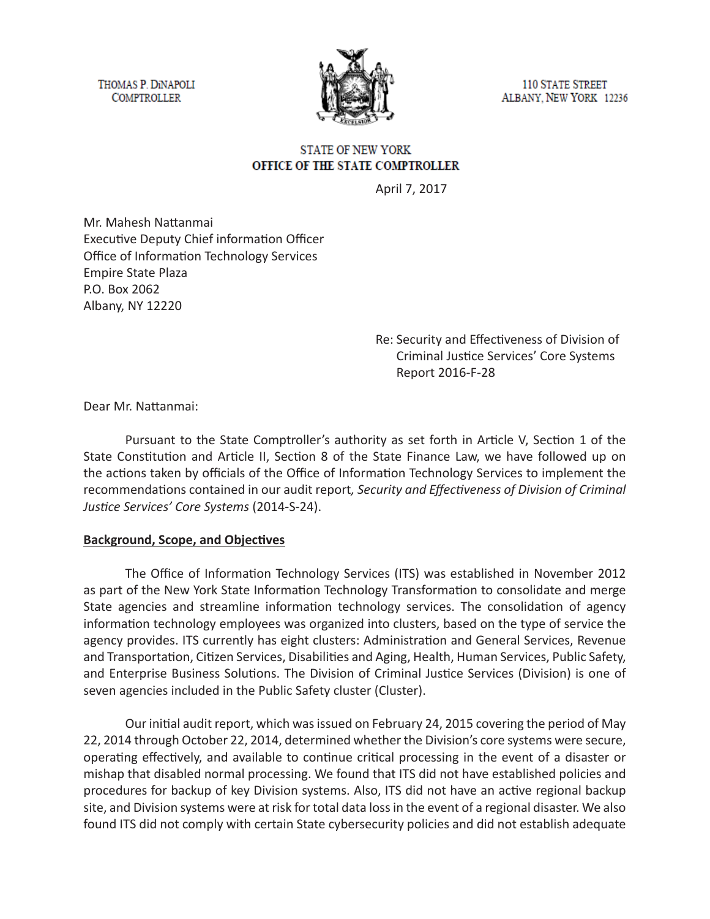THOMAS P. DINAPOLI **COMPTROLLER** 



**110 STATE STREET** ALBANY, NEW YORK 12236

#### **STATE OF NEW YORK** OFFICE OF THE STATE COMPTROLLER

April 7, 2017

Mr. Mahesh Nattanmai Executive Deputy Chief information Officer Office of Information Technology Services Empire State Plaza P.O. Box 2062 Albany, NY 12220

> Re: Security and Effectiveness of Division of Criminal Justice Services' Core Systems Report 2016-F-28

Dear Mr. Nattanmai:

Pursuant to the State Comptroller's authority as set forth in Article V, Section 1 of the State Constitution and Article II, Section 8 of the State Finance Law, we have followed up on the actions taken by officials of the Office of Information Technology Services to implement the recommendations contained in our audit report*, Security and Effectiveness of Division of Criminal Justice Services' Core Systems* (2014-S-24).

#### **Background, Scope, and Objectives**

The Office of Information Technology Services (ITS) was established in November 2012 as part of the New York State Information Technology Transformation to consolidate and merge State agencies and streamline information technology services. The consolidation of agency information technology employees was organized into clusters, based on the type of service the agency provides. ITS currently has eight clusters: Administration and General Services, Revenue and Transportation, Citizen Services, Disabilities and Aging, Health, Human Services, Public Safety, and Enterprise Business Solutions. The Division of Criminal Justice Services (Division) is one of seven agencies included in the Public Safety cluster (Cluster).

Our initial audit report, which was issued on February 24, 2015 covering the period of May 22, 2014 through October 22, 2014, determined whether the Division's core systems were secure, operating effectively, and available to continue critical processing in the event of a disaster or mishap that disabled normal processing. We found that ITS did not have established policies and procedures for backup of key Division systems. Also, ITS did not have an active regional backup site, and Division systems were at risk for total data loss in the event of a regional disaster. We also found ITS did not comply with certain State cybersecurity policies and did not establish adequate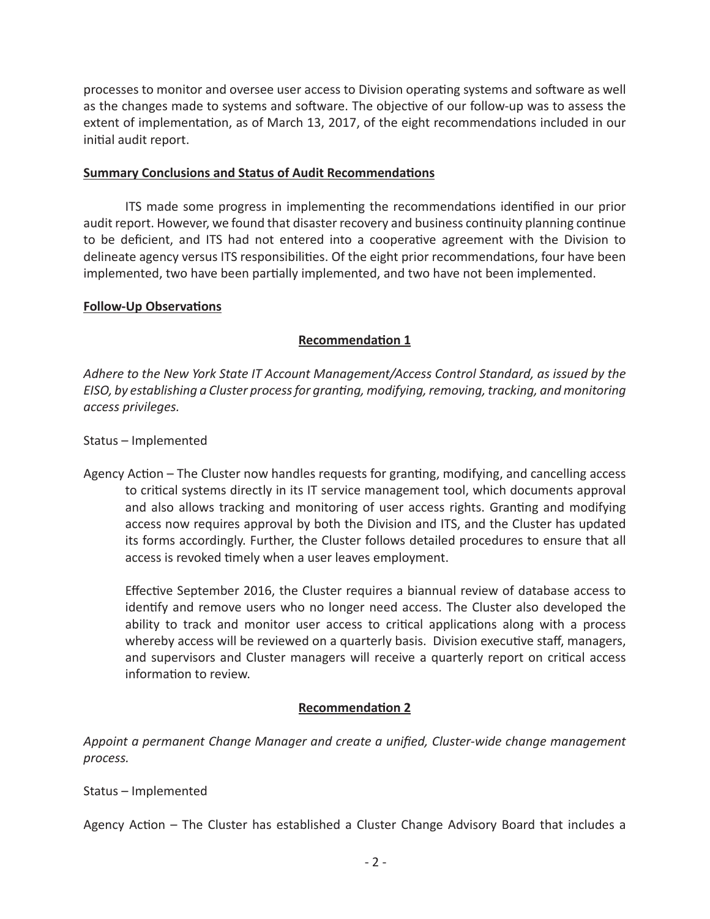processes to monitor and oversee user access to Division operating systems and software as well as the changes made to systems and software. The objective of our follow-up was to assess the extent of implementation, as of March 13, 2017, of the eight recommendations included in our initial audit report.

#### **Summary Conclusions and Status of Audit Recommendations**

ITS made some progress in implementing the recommendations identified in our prior audit report. However, we found that disaster recovery and business continuity planning continue to be deficient, and ITS had not entered into a cooperative agreement with the Division to delineate agency versus ITS responsibilities. Of the eight prior recommendations, four have been implemented, two have been partially implemented, and two have not been implemented.

#### **Follow-Up Observations**

## **Recommendation 1**

*Adhere to the New York State IT Account Management/Access Control Standard, as issued by the EISO, by establishing a Cluster process for granting, modifying, removing, tracking, and monitoring access privileges.* 

#### Status – Implemented

Agency Action – The Cluster now handles requests for granting, modifying, and cancelling access to critical systems directly in its IT service management tool, which documents approval and also allows tracking and monitoring of user access rights. Granting and modifying access now requires approval by both the Division and ITS, and the Cluster has updated its forms accordingly. Further, the Cluster follows detailed procedures to ensure that all access is revoked timely when a user leaves employment.

Effective September 2016, the Cluster requires a biannual review of database access to identify and remove users who no longer need access. The Cluster also developed the ability to track and monitor user access to critical applications along with a process whereby access will be reviewed on a quarterly basis. Division executive staff, managers, and supervisors and Cluster managers will receive a quarterly report on critical access information to review.

## **Recommendation 2**

*Appoint a permanent Change Manager and create a unified, Cluster-wide change management process.*

## Status – Implemented

Agency Action – The Cluster has established a Cluster Change Advisory Board that includes a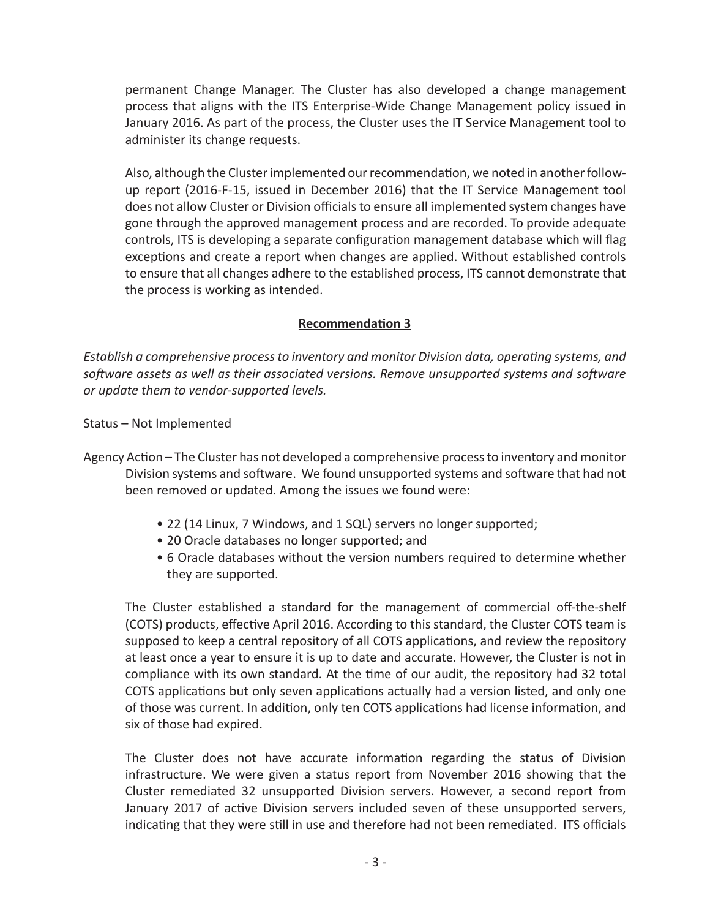permanent Change Manager. The Cluster has also developed a change management process that aligns with the ITS Enterprise-Wide Change Management policy issued in January 2016. As part of the process, the Cluster uses the IT Service Management tool to administer its change requests.

Also, although the Cluster implemented our recommendation, we noted in another followup report (2016-F-15, issued in December 2016) that the IT Service Management tool does not allow Cluster or Division officials to ensure all implemented system changes have gone through the approved management process and are recorded. To provide adequate controls, ITS is developing a separate configuration management database which will flag exceptions and create a report when changes are applied. Without established controls to ensure that all changes adhere to the established process, ITS cannot demonstrate that the process is working as intended.

## **Recommendation 3**

*Establish a comprehensive process to inventory and monitor Division data, operating systems, and software assets as well as their associated versions. Remove unsupported systems and software or update them to vendor-supported levels.* 

Status – Not Implemented

- Agency Action The Cluster has not developed a comprehensive process to inventory and monitor Division systems and software. We found unsupported systems and software that had not been removed or updated. Among the issues we found were:
	- 22 (14 Linux, 7 Windows, and 1 SQL) servers no longer supported;
	- 20 Oracle databases no longer supported; and
	- 6 Oracle databases without the version numbers required to determine whether they are supported.

The Cluster established a standard for the management of commercial off-the-shelf (COTS) products, effective April 2016. According to this standard, the Cluster COTS team is supposed to keep a central repository of all COTS applications, and review the repository at least once a year to ensure it is up to date and accurate. However, the Cluster is not in compliance with its own standard. At the time of our audit, the repository had 32 total COTS applications but only seven applications actually had a version listed, and only one of those was current. In addition, only ten COTS applications had license information, and six of those had expired.

The Cluster does not have accurate information regarding the status of Division infrastructure. We were given a status report from November 2016 showing that the Cluster remediated 32 unsupported Division servers. However, a second report from January 2017 of active Division servers included seven of these unsupported servers, indicating that they were still in use and therefore had not been remediated. ITS officials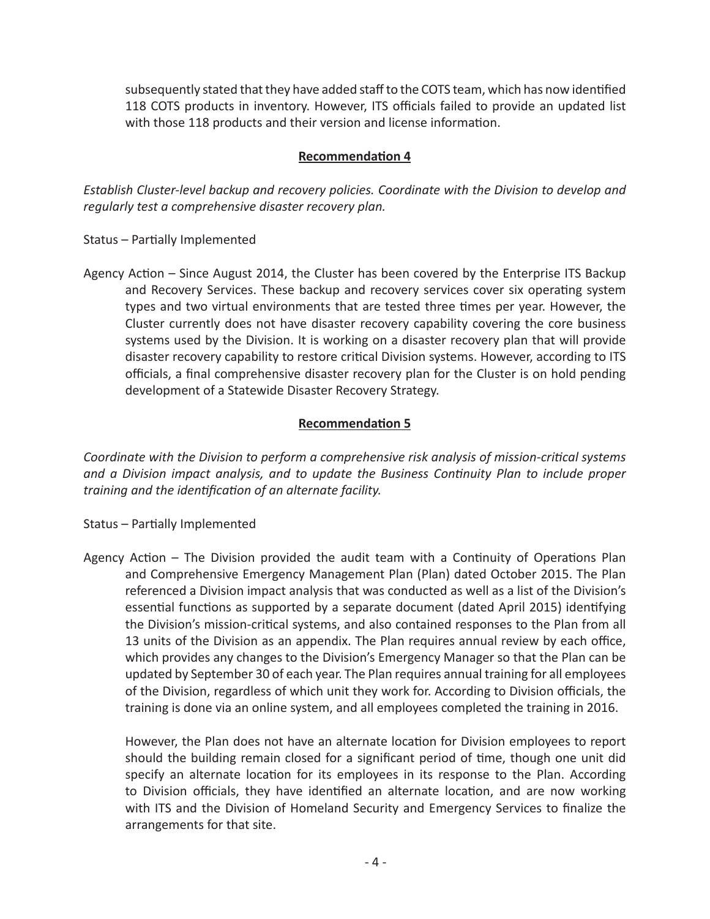subsequently stated that they have added staff to the COTS team, which has now identified 118 COTS products in inventory. However, ITS officials failed to provide an updated list with those 118 products and their version and license information.

# **Recommendation 4**

*Establish Cluster-level backup and recovery policies. Coordinate with the Division to develop and regularly test a comprehensive disaster recovery plan.* 

Status – Partially Implemented

Agency Action – Since August 2014, the Cluster has been covered by the Enterprise ITS Backup and Recovery Services. These backup and recovery services cover six operating system types and two virtual environments that are tested three times per year. However, the Cluster currently does not have disaster recovery capability covering the core business systems used by the Division. It is working on a disaster recovery plan that will provide disaster recovery capability to restore critical Division systems. However, according to ITS officials, a final comprehensive disaster recovery plan for the Cluster is on hold pending development of a Statewide Disaster Recovery Strategy.

# **Recommendation 5**

*Coordinate with the Division to perform a comprehensive risk analysis of mission-critical systems and a Division impact analysis, and to update the Business Continuity Plan to include proper training and the identification of an alternate facility.*

Status – Partially Implemented

Agency Action – The Division provided the audit team with a Continuity of Operations Plan and Comprehensive Emergency Management Plan (Plan) dated October 2015. The Plan referenced a Division impact analysis that was conducted as well as a list of the Division's essential functions as supported by a separate document (dated April 2015) identifying the Division's mission-critical systems, and also contained responses to the Plan from all 13 units of the Division as an appendix. The Plan requires annual review by each office, which provides any changes to the Division's Emergency Manager so that the Plan can be updated by September 30 of each year. The Plan requires annual training for all employees of the Division, regardless of which unit they work for. According to Division officials, the training is done via an online system, and all employees completed the training in 2016.

However, the Plan does not have an alternate location for Division employees to report should the building remain closed for a significant period of time, though one unit did specify an alternate location for its employees in its response to the Plan. According to Division officials, they have identified an alternate location, and are now working with ITS and the Division of Homeland Security and Emergency Services to finalize the arrangements for that site.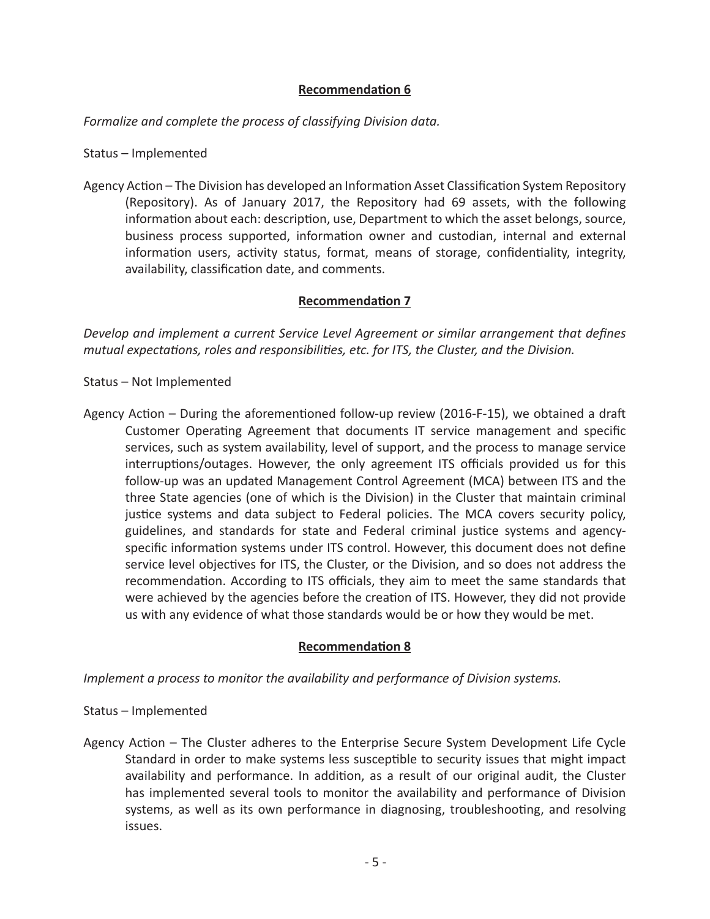## **Recommendation 6**

*Formalize and complete the process of classifying Division data.*

Status – Implemented

Agency Action – The Division has developed an Information Asset Classification System Repository (Repository). As of January 2017, the Repository had 69 assets, with the following information about each: description, use, Department to which the asset belongs, source, business process supported, information owner and custodian, internal and external information users, activity status, format, means of storage, confidentiality, integrity, availability, classification date, and comments.

## **Recommendation 7**

*Develop and implement a current Service Level Agreement or similar arrangement that defines mutual expectations, roles and responsibilities, etc. for ITS, the Cluster, and the Division.*

Status – Not Implemented

Agency Action – During the aforementioned follow-up review (2016-F-15), we obtained a draft Customer Operating Agreement that documents IT service management and specific services, such as system availability, level of support, and the process to manage service interruptions/outages. However, the only agreement ITS officials provided us for this follow-up was an updated Management Control Agreement (MCA) between ITS and the three State agencies (one of which is the Division) in the Cluster that maintain criminal justice systems and data subject to Federal policies. The MCA covers security policy, guidelines, and standards for state and Federal criminal justice systems and agencyspecific information systems under ITS control. However, this document does not define service level objectives for ITS, the Cluster, or the Division, and so does not address the recommendation. According to ITS officials, they aim to meet the same standards that were achieved by the agencies before the creation of ITS. However, they did not provide us with any evidence of what those standards would be or how they would be met.

## **Recommendation 8**

*Implement a process to monitor the availability and performance of Division systems.*

## Status – Implemented

Agency Action – The Cluster adheres to the Enterprise Secure System Development Life Cycle Standard in order to make systems less susceptible to security issues that might impact availability and performance. In addition, as a result of our original audit, the Cluster has implemented several tools to monitor the availability and performance of Division systems, as well as its own performance in diagnosing, troubleshooting, and resolving issues.